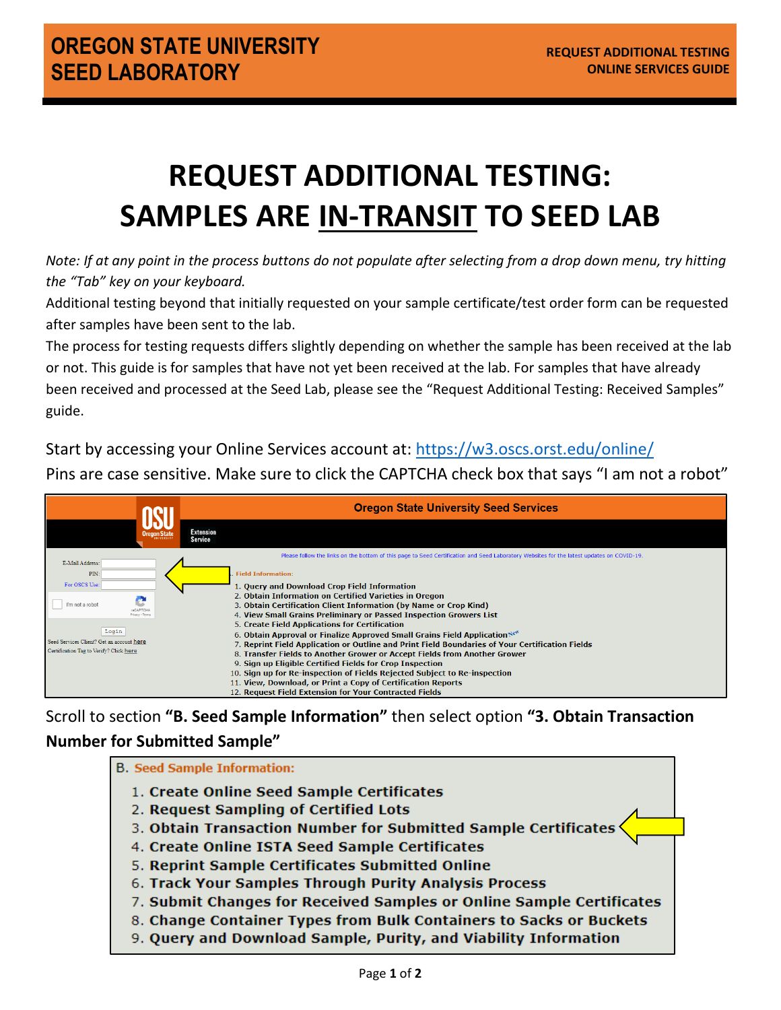## **REQUEST ADDITIONAL TESTING: SAMPLES ARE IN-TRANSIT TO SEED LAB**

*Note: If at any point in the process buttons do not populate after selecting from a drop down menu, try hitting the "Tab" key on your keyboard.*

Additional testing beyond that initially requested on your sample certificate/test order form can be requested after samples have been sent to the lab.

The process for testing requests differs slightly depending on whether the sample has been received at the lab or not. This guide is for samples that have not yet been received at the lab. For samples that have already been received and processed at the Seed Lab, please see the "Request Additional Testing: Received Samples" guide.

Start by accessing your Online Services account at:<https://w3.oscs.orst.edu/online/>

Pins are case sensitive. Make sure to click the CAPTCHA check box that says "I am not a robot"

|                                                                                                                                                                                       | <b>Oregon State University Seed Services</b>                                                                                                                                                                                                                                                                                                                                                                                                                                                                                                                                                                                                                                                                                                                                                                                                                                                                                                                                                                   |
|---------------------------------------------------------------------------------------------------------------------------------------------------------------------------------------|----------------------------------------------------------------------------------------------------------------------------------------------------------------------------------------------------------------------------------------------------------------------------------------------------------------------------------------------------------------------------------------------------------------------------------------------------------------------------------------------------------------------------------------------------------------------------------------------------------------------------------------------------------------------------------------------------------------------------------------------------------------------------------------------------------------------------------------------------------------------------------------------------------------------------------------------------------------------------------------------------------------|
|                                                                                                                                                                                       | <b>Extension</b><br>Service                                                                                                                                                                                                                                                                                                                                                                                                                                                                                                                                                                                                                                                                                                                                                                                                                                                                                                                                                                                    |
| E-Mail Address:<br>PIN<br>For OSCS Use:<br>- 1<br>I'm not a robot<br>Privary - Terms<br>Login<br>Seed Services Client? Get an account here<br>Certification Tag to Verify? Click here | Please follow the links on the bottom of this page to Seed Certification and Seed Laboratory Websites for the latest updates on COVID-19.<br><b>Field Information:</b><br>1. Query and Download Crop Field Information<br>2. Obtain Information on Certified Varieties in Oregon<br>3. Obtain Certification Client Information (by Name or Crop Kind)<br>4. View Small Grains Preliminary or Passed Inspection Growers List<br>5. Create Field Applications for Certification<br>6. Obtain Approval or Finalize Approved Small Grains Field Application New<br>7. Reprint Field Application or Outline and Print Field Boundaries of Your Certification Fields<br>8. Transfer Fields to Another Grower or Accept Fields from Another Grower<br>9. Sign up Eligible Certified Fields for Crop Inspection<br>10. Sign up for Re-inspection of Fields Rejected Subject to Re-inspection<br>11. View, Download, or Print a Copy of Certification Reports<br>12. Request Field Extension for Your Contracted Fields |

Scroll to section **"B. Seed Sample Information"** then select option **"3. Obtain Transaction Number for Submitted Sample"**